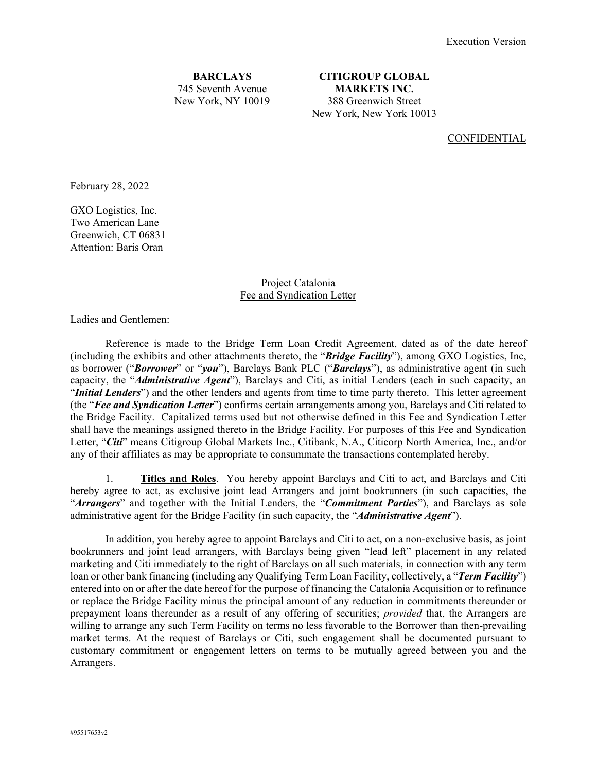**BARCLAYS** 745 Seventh Avenue New York, NY 10019

**CITIGROUP GLOBAL MARKETS INC.**  388 Greenwich Street New York, New York 10013

CONFIDENTIAL

February 28, 2022

GXO Logistics, Inc. Two American Lane Greenwich, CT 06831 Attention: Baris Oran

> Project Catalonia Fee and Syndication Letter

Ladies and Gentlemen:

 Reference is made to the Bridge Term Loan Credit Agreement, dated as of the date hereof (including the exhibits and other attachments thereto, the "*Bridge Facility*"), among GXO Logistics, Inc, as borrower ("*Borrower*" or "*you*"), Barclays Bank PLC ("*Barclays*"), as administrative agent (in such capacity, the "*Administrative Agent*"), Barclays and Citi, as initial Lenders (each in such capacity, an "*Initial Lenders*") and the other lenders and agents from time to time party thereto. This letter agreement (the "*Fee and Syndication Letter*") confirms certain arrangements among you, Barclays and Citi related to the Bridge Facility. Capitalized terms used but not otherwise defined in this Fee and Syndication Letter shall have the meanings assigned thereto in the Bridge Facility. For purposes of this Fee and Syndication Letter, "*Citi*" means Citigroup Global Markets Inc., Citibank, N.A., Citicorp North America, Inc., and/or any of their affiliates as may be appropriate to consummate the transactions contemplated hereby.

 1. **Titles and Roles**. You hereby appoint Barclays and Citi to act, and Barclays and Citi hereby agree to act, as exclusive joint lead Arrangers and joint bookrunners (in such capacities, the "*Arrangers*" and together with the Initial Lenders, the "*Commitment Parties*"), and Barclays as sole administrative agent for the Bridge Facility (in such capacity, the "*Administrative Agent*").

 In addition, you hereby agree to appoint Barclays and Citi to act, on a non-exclusive basis, as joint bookrunners and joint lead arrangers, with Barclays being given "lead left" placement in any related marketing and Citi immediately to the right of Barclays on all such materials, in connection with any term loan or other bank financing (including any Qualifying Term Loan Facility, collectively, a "*Term Facility*") entered into on or after the date hereof for the purpose of financing the Catalonia Acquisition or to refinance or replace the Bridge Facility minus the principal amount of any reduction in commitments thereunder or prepayment loans thereunder as a result of any offering of securities; *provided* that, the Arrangers are willing to arrange any such Term Facility on terms no less favorable to the Borrower than then-prevailing market terms. At the request of Barclays or Citi, such engagement shall be documented pursuant to customary commitment or engagement letters on terms to be mutually agreed between you and the Arrangers.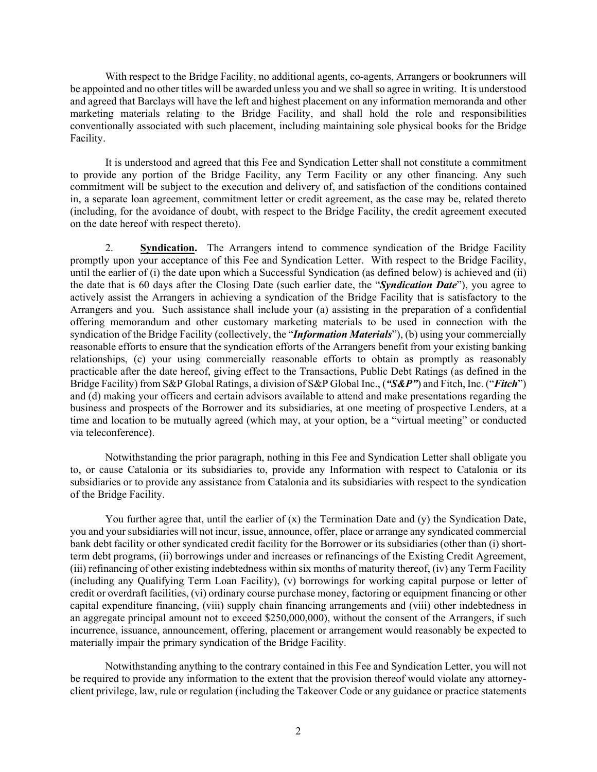With respect to the Bridge Facility, no additional agents, co-agents, Arrangers or bookrunners will be appointed and no other titles will be awarded unless you and we shall so agree in writing. It is understood and agreed that Barclays will have the left and highest placement on any information memoranda and other marketing materials relating to the Bridge Facility, and shall hold the role and responsibilities conventionally associated with such placement, including maintaining sole physical books for the Bridge Facility.

 It is understood and agreed that this Fee and Syndication Letter shall not constitute a commitment to provide any portion of the Bridge Facility, any Term Facility or any other financing. Any such commitment will be subject to the execution and delivery of, and satisfaction of the conditions contained in, a separate loan agreement, commitment letter or credit agreement, as the case may be, related thereto (including, for the avoidance of doubt, with respect to the Bridge Facility, the credit agreement executed on the date hereof with respect thereto).

 2. **Syndication.** The Arrangers intend to commence syndication of the Bridge Facility promptly upon your acceptance of this Fee and Syndication Letter. With respect to the Bridge Facility, until the earlier of (i) the date upon which a Successful Syndication (as defined below) is achieved and (ii) the date that is 60 days after the Closing Date (such earlier date, the "*Syndication Date*"), you agree to actively assist the Arrangers in achieving a syndication of the Bridge Facility that is satisfactory to the Arrangers and you. Such assistance shall include your (a) assisting in the preparation of a confidential offering memorandum and other customary marketing materials to be used in connection with the syndication of the Bridge Facility (collectively, the "*Information Materials*"), (b) using your commercially reasonable efforts to ensure that the syndication efforts of the Arrangers benefit from your existing banking relationships, (c) your using commercially reasonable efforts to obtain as promptly as reasonably practicable after the date hereof, giving effect to the Transactions, Public Debt Ratings (as defined in the Bridge Facility) from S&P Global Ratings, a division of S&P Global Inc., (*"S&P"*) and Fitch, Inc. ("*Fitch*") and (d) making your officers and certain advisors available to attend and make presentations regarding the business and prospects of the Borrower and its subsidiaries, at one meeting of prospective Lenders, at a time and location to be mutually agreed (which may, at your option, be a "virtual meeting" or conducted via teleconference).

 Notwithstanding the prior paragraph, nothing in this Fee and Syndication Letter shall obligate you to, or cause Catalonia or its subsidiaries to, provide any Information with respect to Catalonia or its subsidiaries or to provide any assistance from Catalonia and its subsidiaries with respect to the syndication of the Bridge Facility.

You further agree that, until the earlier of  $(x)$  the Termination Date and  $(y)$  the Syndication Date, you and your subsidiaries will not incur, issue, announce, offer, place or arrange any syndicated commercial bank debt facility or other syndicated credit facility for the Borrower or its subsidiaries (other than (i) shortterm debt programs, (ii) borrowings under and increases or refinancings of the Existing Credit Agreement, (iii) refinancing of other existing indebtedness within six months of maturity thereof, (iv) any Term Facility (including any Qualifying Term Loan Facility), (v) borrowings for working capital purpose or letter of credit or overdraft facilities, (vi) ordinary course purchase money, factoring or equipment financing or other capital expenditure financing, (viii) supply chain financing arrangements and (viii) other indebtedness in an aggregate principal amount not to exceed \$250,000,000), without the consent of the Arrangers, if such incurrence, issuance, announcement, offering, placement or arrangement would reasonably be expected to materially impair the primary syndication of the Bridge Facility.

 Notwithstanding anything to the contrary contained in this Fee and Syndication Letter, you will not be required to provide any information to the extent that the provision thereof would violate any attorneyclient privilege, law, rule or regulation (including the Takeover Code or any guidance or practice statements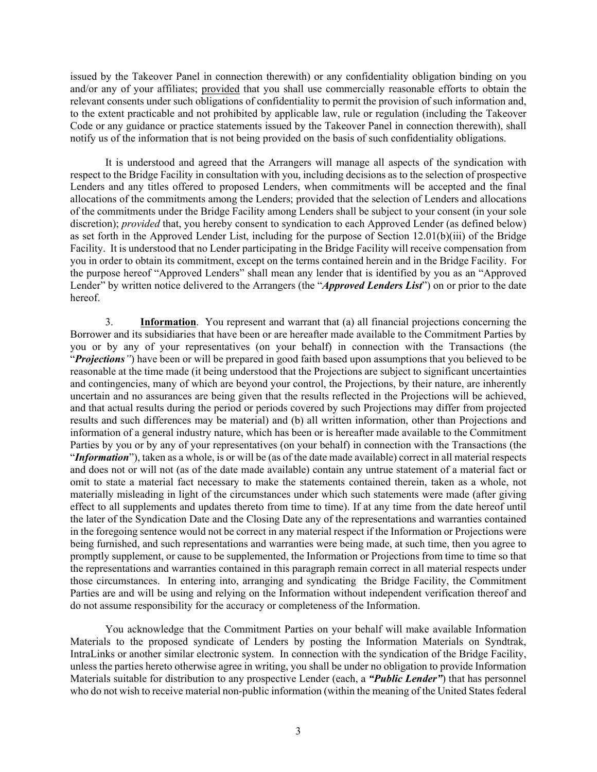issued by the Takeover Panel in connection therewith) or any confidentiality obligation binding on you and/or any of your affiliates; provided that you shall use commercially reasonable efforts to obtain the relevant consents under such obligations of confidentiality to permit the provision of such information and, to the extent practicable and not prohibited by applicable law, rule or regulation (including the Takeover Code or any guidance or practice statements issued by the Takeover Panel in connection therewith), shall notify us of the information that is not being provided on the basis of such confidentiality obligations.

 It is understood and agreed that the Arrangers will manage all aspects of the syndication with respect to the Bridge Facility in consultation with you, including decisions as to the selection of prospective Lenders and any titles offered to proposed Lenders, when commitments will be accepted and the final allocations of the commitments among the Lenders; provided that the selection of Lenders and allocations of the commitments under the Bridge Facility among Lenders shall be subject to your consent (in your sole discretion); *provided* that, you hereby consent to syndication to each Approved Lender (as defined below) as set forth in the Approved Lender List, including for the purpose of Section 12.01(b)(iii) of the Bridge Facility. It is understood that no Lender participating in the Bridge Facility will receive compensation from you in order to obtain its commitment, except on the terms contained herein and in the Bridge Facility. For the purpose hereof "Approved Lenders" shall mean any lender that is identified by you as an "Approved Lender" by written notice delivered to the Arrangers (the "*Approved Lenders List*") on or prior to the date hereof.

 3. **Information**. You represent and warrant that (a) all financial projections concerning the Borrower and its subsidiaries that have been or are hereafter made available to the Commitment Parties by you or by any of your representatives (on your behalf) in connection with the Transactions (the "*Projections"*) have been or will be prepared in good faith based upon assumptions that you believed to be reasonable at the time made (it being understood that the Projections are subject to significant uncertainties and contingencies, many of which are beyond your control, the Projections, by their nature, are inherently uncertain and no assurances are being given that the results reflected in the Projections will be achieved, and that actual results during the period or periods covered by such Projections may differ from projected results and such differences may be material) and (b) all written information, other than Projections and information of a general industry nature, which has been or is hereafter made available to the Commitment Parties by you or by any of your representatives (on your behalf) in connection with the Transactions (the "*Information*"), taken as a whole, is or will be (as of the date made available) correct in all material respects and does not or will not (as of the date made available) contain any untrue statement of a material fact or omit to state a material fact necessary to make the statements contained therein, taken as a whole, not materially misleading in light of the circumstances under which such statements were made (after giving effect to all supplements and updates thereto from time to time). If at any time from the date hereof until the later of the Syndication Date and the Closing Date any of the representations and warranties contained in the foregoing sentence would not be correct in any material respect if the Information or Projections were being furnished, and such representations and warranties were being made, at such time, then you agree to promptly supplement, or cause to be supplemented, the Information or Projections from time to time so that the representations and warranties contained in this paragraph remain correct in all material respects under those circumstances. In entering into, arranging and syndicating the Bridge Facility, the Commitment Parties are and will be using and relying on the Information without independent verification thereof and do not assume responsibility for the accuracy or completeness of the Information.

 You acknowledge that the Commitment Parties on your behalf will make available Information Materials to the proposed syndicate of Lenders by posting the Information Materials on Syndtrak, IntraLinks or another similar electronic system. In connection with the syndication of the Bridge Facility, unless the parties hereto otherwise agree in writing, you shall be under no obligation to provide Information Materials suitable for distribution to any prospective Lender (each, a *"Public Lender"*) that has personnel who do not wish to receive material non-public information (within the meaning of the United States federal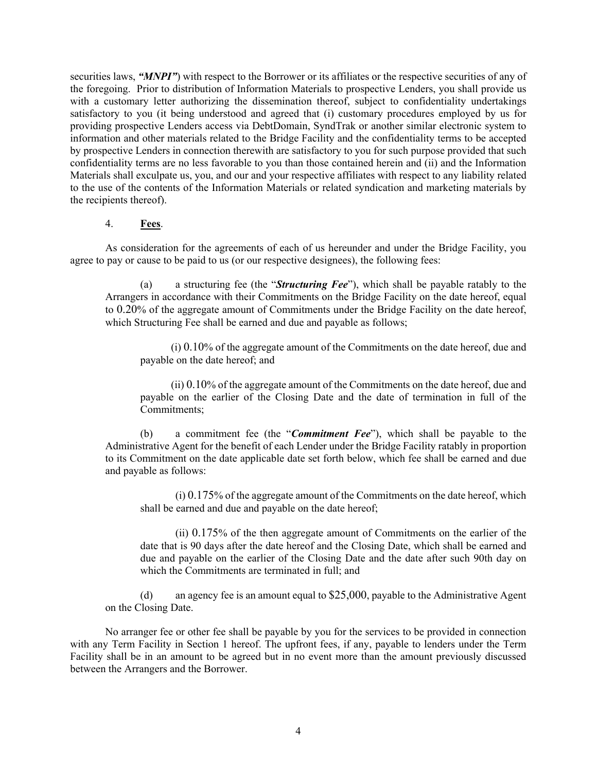securities laws, *"MNPI"*) with respect to the Borrower or its affiliates or the respective securities of any of the foregoing. Prior to distribution of Information Materials to prospective Lenders, you shall provide us with a customary letter authorizing the dissemination thereof, subject to confidentiality undertakings satisfactory to you (it being understood and agreed that (i) customary procedures employed by us for providing prospective Lenders access via DebtDomain, SyndTrak or another similar electronic system to information and other materials related to the Bridge Facility and the confidentiality terms to be accepted by prospective Lenders in connection therewith are satisfactory to you for such purpose provided that such confidentiality terms are no less favorable to you than those contained herein and (ii) and the Information Materials shall exculpate us, you, and our and your respective affiliates with respect to any liability related to the use of the contents of the Information Materials or related syndication and marketing materials by the recipients thereof).

4. **Fees**.

As consideration for the agreements of each of us hereunder and under the Bridge Facility, you agree to pay or cause to be paid to us (or our respective designees), the following fees:

(a) a structuring fee (the "*Structuring Fee*"), which shall be payable ratably to the Arrangers in accordance with their Commitments on the Bridge Facility on the date hereof, equal to 0.20% of the aggregate amount of Commitments under the Bridge Facility on the date hereof, which Structuring Fee shall be earned and due and payable as follows;

(i) 0.10% of the aggregate amount of the Commitments on the date hereof, due and payable on the date hereof; and

(ii) 0.10% of the aggregate amount of the Commitments on the date hereof, due and payable on the earlier of the Closing Date and the date of termination in full of the Commitments;

(b) a commitment fee (the "*Commitment Fee*"), which shall be payable to the Administrative Agent for the benefit of each Lender under the Bridge Facility ratably in proportion to its Commitment on the date applicable date set forth below, which fee shall be earned and due and payable as follows:

 (i) 0.175% of the aggregate amount of the Commitments on the date hereof, which shall be earned and due and payable on the date hereof;

 (ii) 0.175% of the then aggregate amount of Commitments on the earlier of the date that is 90 days after the date hereof and the Closing Date, which shall be earned and due and payable on the earlier of the Closing Date and the date after such 90th day on which the Commitments are terminated in full; and

(d) an agency fee is an amount equal to \$25,000, payable to the Administrative Agent on the Closing Date.

No arranger fee or other fee shall be payable by you for the services to be provided in connection with any Term Facility in Section 1 hereof. The upfront fees, if any, payable to lenders under the Term Facility shall be in an amount to be agreed but in no event more than the amount previously discussed between the Arrangers and the Borrower.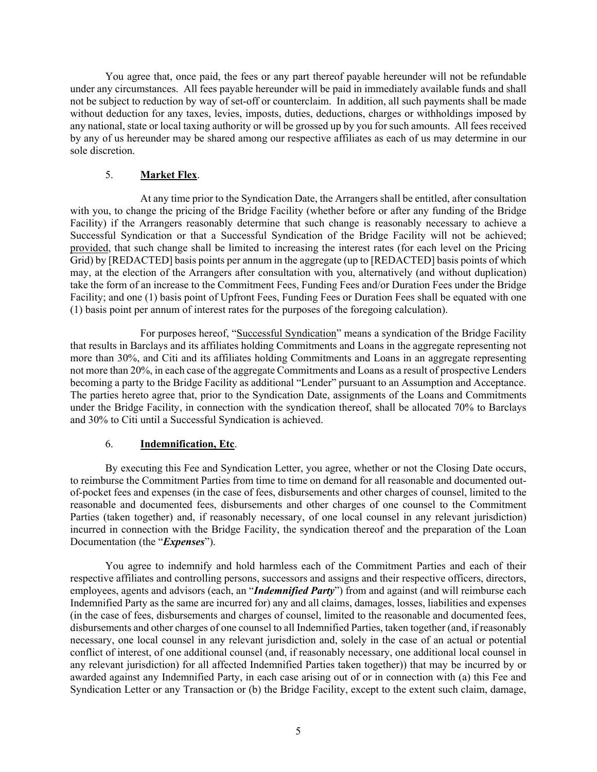You agree that, once paid, the fees or any part thereof payable hereunder will not be refundable under any circumstances. All fees payable hereunder will be paid in immediately available funds and shall not be subject to reduction by way of set-off or counterclaim. In addition, all such payments shall be made without deduction for any taxes, levies, imposts, duties, deductions, charges or withholdings imposed by any national, state or local taxing authority or will be grossed up by you for such amounts. All fees received by any of us hereunder may be shared among our respective affiliates as each of us may determine in our sole discretion.

#### 5. **Market Flex**.

At any time prior to the Syndication Date, the Arrangers shall be entitled, after consultation with you, to change the pricing of the Bridge Facility (whether before or after any funding of the Bridge Facility) if the Arrangers reasonably determine that such change is reasonably necessary to achieve a Successful Syndication or that a Successful Syndication of the Bridge Facility will not be achieved; provided, that such change shall be limited to increasing the interest rates (for each level on the Pricing Grid) by [REDACTED] basis points per annum in the aggregate (up to [REDACTED] basis points of which may, at the election of the Arrangers after consultation with you, alternatively (and without duplication) take the form of an increase to the Commitment Fees, Funding Fees and/or Duration Fees under the Bridge Facility; and one (1) basis point of Upfront Fees, Funding Fees or Duration Fees shall be equated with one (1) basis point per annum of interest rates for the purposes of the foregoing calculation).

For purposes hereof, "Successful Syndication" means a syndication of the Bridge Facility that results in Barclays and its affiliates holding Commitments and Loans in the aggregate representing not more than 30%, and Citi and its affiliates holding Commitments and Loans in an aggregate representing not more than 20%, in each case of the aggregate Commitments and Loans as a result of prospective Lenders becoming a party to the Bridge Facility as additional "Lender" pursuant to an Assumption and Acceptance. The parties hereto agree that, prior to the Syndication Date, assignments of the Loans and Commitments under the Bridge Facility, in connection with the syndication thereof, shall be allocated 70% to Barclays and 30% to Citi until a Successful Syndication is achieved.

#### 6. **Indemnification, Etc**.

 By executing this Fee and Syndication Letter, you agree, whether or not the Closing Date occurs, to reimburse the Commitment Parties from time to time on demand for all reasonable and documented outof-pocket fees and expenses (in the case of fees, disbursements and other charges of counsel, limited to the reasonable and documented fees, disbursements and other charges of one counsel to the Commitment Parties (taken together) and, if reasonably necessary, of one local counsel in any relevant jurisdiction) incurred in connection with the Bridge Facility, the syndication thereof and the preparation of the Loan Documentation (the "*Expenses*").

 You agree to indemnify and hold harmless each of the Commitment Parties and each of their respective affiliates and controlling persons, successors and assigns and their respective officers, directors, employees, agents and advisors (each, an "*Indemnified Party*") from and against (and will reimburse each Indemnified Party as the same are incurred for) any and all claims, damages, losses, liabilities and expenses (in the case of fees, disbursements and charges of counsel, limited to the reasonable and documented fees, disbursements and other charges of one counsel to all Indemnified Parties, taken together (and, if reasonably necessary, one local counsel in any relevant jurisdiction and, solely in the case of an actual or potential conflict of interest, of one additional counsel (and, if reasonably necessary, one additional local counsel in any relevant jurisdiction) for all affected Indemnified Parties taken together)) that may be incurred by or awarded against any Indemnified Party, in each case arising out of or in connection with (a) this Fee and Syndication Letter or any Transaction or (b) the Bridge Facility, except to the extent such claim, damage,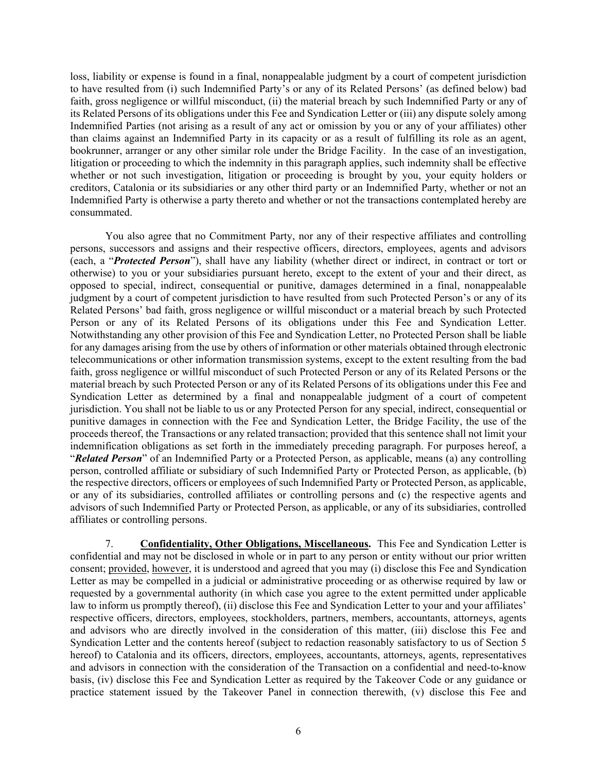loss, liability or expense is found in a final, nonappealable judgment by a court of competent jurisdiction to have resulted from (i) such Indemnified Party's or any of its Related Persons' (as defined below) bad faith, gross negligence or willful misconduct, (ii) the material breach by such Indemnified Party or any of its Related Persons of its obligations under this Fee and Syndication Letter or (iii) any dispute solely among Indemnified Parties (not arising as a result of any act or omission by you or any of your affiliates) other than claims against an Indemnified Party in its capacity or as a result of fulfilling its role as an agent, bookrunner, arranger or any other similar role under the Bridge Facility. In the case of an investigation, litigation or proceeding to which the indemnity in this paragraph applies, such indemnity shall be effective whether or not such investigation, litigation or proceeding is brought by you, your equity holders or creditors, Catalonia or its subsidiaries or any other third party or an Indemnified Party, whether or not an Indemnified Party is otherwise a party thereto and whether or not the transactions contemplated hereby are consummated.

 You also agree that no Commitment Party, nor any of their respective affiliates and controlling persons, successors and assigns and their respective officers, directors, employees, agents and advisors (each, a "*Protected Person*"), shall have any liability (whether direct or indirect, in contract or tort or otherwise) to you or your subsidiaries pursuant hereto, except to the extent of your and their direct, as opposed to special, indirect, consequential or punitive, damages determined in a final, nonappealable judgment by a court of competent jurisdiction to have resulted from such Protected Person's or any of its Related Persons' bad faith, gross negligence or willful misconduct or a material breach by such Protected Person or any of its Related Persons of its obligations under this Fee and Syndication Letter. Notwithstanding any other provision of this Fee and Syndication Letter, no Protected Person shall be liable for any damages arising from the use by others of information or other materials obtained through electronic telecommunications or other information transmission systems, except to the extent resulting from the bad faith, gross negligence or willful misconduct of such Protected Person or any of its Related Persons or the material breach by such Protected Person or any of its Related Persons of its obligations under this Fee and Syndication Letter as determined by a final and nonappealable judgment of a court of competent jurisdiction. You shall not be liable to us or any Protected Person for any special, indirect, consequential or punitive damages in connection with the Fee and Syndication Letter, the Bridge Facility, the use of the proceeds thereof, the Transactions or any related transaction; provided that this sentence shall not limit your indemnification obligations as set forth in the immediately preceding paragraph. For purposes hereof, a "*Related Person*" of an Indemnified Party or a Protected Person, as applicable, means (a) any controlling person, controlled affiliate or subsidiary of such Indemnified Party or Protected Person, as applicable, (b) the respective directors, officers or employees of such Indemnified Party or Protected Person, as applicable, or any of its subsidiaries, controlled affiliates or controlling persons and (c) the respective agents and advisors of such Indemnified Party or Protected Person, as applicable, or any of its subsidiaries, controlled affiliates or controlling persons.

 7. **Confidentiality, Other Obligations, Miscellaneous.** This Fee and Syndication Letter is confidential and may not be disclosed in whole or in part to any person or entity without our prior written consent; provided, however, it is understood and agreed that you may (i) disclose this Fee and Syndication Letter as may be compelled in a judicial or administrative proceeding or as otherwise required by law or requested by a governmental authority (in which case you agree to the extent permitted under applicable law to inform us promptly thereof), (ii) disclose this Fee and Syndication Letter to your and your affiliates' respective officers, directors, employees, stockholders, partners, members, accountants, attorneys, agents and advisors who are directly involved in the consideration of this matter, (iii) disclose this Fee and Syndication Letter and the contents hereof (subject to redaction reasonably satisfactory to us of Section 5 hereof) to Catalonia and its officers, directors, employees, accountants, attorneys, agents, representatives and advisors in connection with the consideration of the Transaction on a confidential and need-to-know basis, (iv) disclose this Fee and Syndication Letter as required by the Takeover Code or any guidance or practice statement issued by the Takeover Panel in connection therewith, (v) disclose this Fee and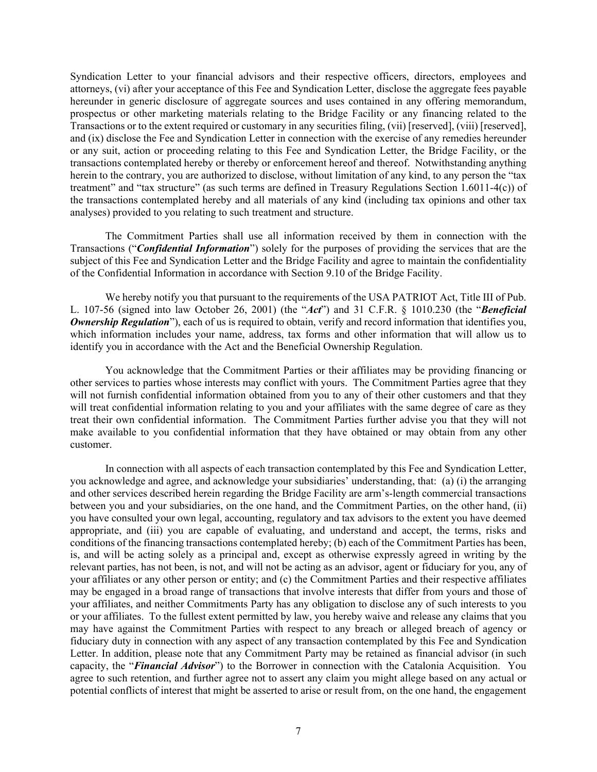Syndication Letter to your financial advisors and their respective officers, directors, employees and attorneys, (vi) after your acceptance of this Fee and Syndication Letter, disclose the aggregate fees payable hereunder in generic disclosure of aggregate sources and uses contained in any offering memorandum, prospectus or other marketing materials relating to the Bridge Facility or any financing related to the Transactions or to the extent required or customary in any securities filing, (vii) [reserved], (viii) [reserved], and (ix) disclose the Fee and Syndication Letter in connection with the exercise of any remedies hereunder or any suit, action or proceeding relating to this Fee and Syndication Letter, the Bridge Facility, or the transactions contemplated hereby or thereby or enforcement hereof and thereof. Notwithstanding anything herein to the contrary, you are authorized to disclose, without limitation of any kind, to any person the "tax treatment" and "tax structure" (as such terms are defined in Treasury Regulations Section 1.6011-4(c)) of the transactions contemplated hereby and all materials of any kind (including tax opinions and other tax analyses) provided to you relating to such treatment and structure.

 The Commitment Parties shall use all information received by them in connection with the Transactions ("*Confidential Information*") solely for the purposes of providing the services that are the subject of this Fee and Syndication Letter and the Bridge Facility and agree to maintain the confidentiality of the Confidential Information in accordance with Section 9.10 of the Bridge Facility.

 We hereby notify you that pursuant to the requirements of the USA PATRIOT Act, Title III of Pub. L. 107-56 (signed into law October 26, 2001) (the "*Act*") and 31 C.F.R. § 1010.230 (the "*Beneficial Ownership Regulation*"), each of us is required to obtain, verify and record information that identifies you, which information includes your name, address, tax forms and other information that will allow us to identify you in accordance with the Act and the Beneficial Ownership Regulation.

 You acknowledge that the Commitment Parties or their affiliates may be providing financing or other services to parties whose interests may conflict with yours. The Commitment Parties agree that they will not furnish confidential information obtained from you to any of their other customers and that they will treat confidential information relating to you and your affiliates with the same degree of care as they treat their own confidential information. The Commitment Parties further advise you that they will not make available to you confidential information that they have obtained or may obtain from any other customer.

 In connection with all aspects of each transaction contemplated by this Fee and Syndication Letter, you acknowledge and agree, and acknowledge your subsidiaries' understanding, that: (a) (i) the arranging and other services described herein regarding the Bridge Facility are arm's-length commercial transactions between you and your subsidiaries, on the one hand, and the Commitment Parties, on the other hand, (ii) you have consulted your own legal, accounting, regulatory and tax advisors to the extent you have deemed appropriate, and (iii) you are capable of evaluating, and understand and accept, the terms, risks and conditions of the financing transactions contemplated hereby; (b) each of the Commitment Parties has been, is, and will be acting solely as a principal and, except as otherwise expressly agreed in writing by the relevant parties, has not been, is not, and will not be acting as an advisor, agent or fiduciary for you, any of your affiliates or any other person or entity; and (c) the Commitment Parties and their respective affiliates may be engaged in a broad range of transactions that involve interests that differ from yours and those of your affiliates, and neither Commitments Party has any obligation to disclose any of such interests to you or your affiliates. To the fullest extent permitted by law, you hereby waive and release any claims that you may have against the Commitment Parties with respect to any breach or alleged breach of agency or fiduciary duty in connection with any aspect of any transaction contemplated by this Fee and Syndication Letter. In addition, please note that any Commitment Party may be retained as financial advisor (in such capacity, the "*Financial Advisor*") to the Borrower in connection with the Catalonia Acquisition. You agree to such retention, and further agree not to assert any claim you might allege based on any actual or potential conflicts of interest that might be asserted to arise or result from, on the one hand, the engagement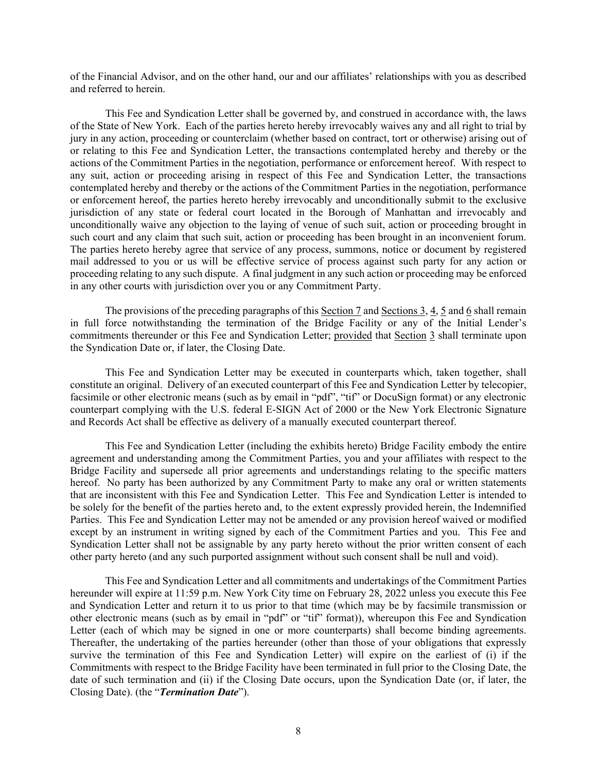of the Financial Advisor, and on the other hand, our and our affiliates' relationships with you as described and referred to herein.

 This Fee and Syndication Letter shall be governed by, and construed in accordance with, the laws of the State of New York. Each of the parties hereto hereby irrevocably waives any and all right to trial by jury in any action, proceeding or counterclaim (whether based on contract, tort or otherwise) arising out of or relating to this Fee and Syndication Letter, the transactions contemplated hereby and thereby or the actions of the Commitment Parties in the negotiation, performance or enforcement hereof. With respect to any suit, action or proceeding arising in respect of this Fee and Syndication Letter, the transactions contemplated hereby and thereby or the actions of the Commitment Parties in the negotiation, performance or enforcement hereof, the parties hereto hereby irrevocably and unconditionally submit to the exclusive jurisdiction of any state or federal court located in the Borough of Manhattan and irrevocably and unconditionally waive any objection to the laying of venue of such suit, action or proceeding brought in such court and any claim that such suit, action or proceeding has been brought in an inconvenient forum. The parties hereto hereby agree that service of any process, summons, notice or document by registered mail addressed to you or us will be effective service of process against such party for any action or proceeding relating to any such dispute. A final judgment in any such action or proceeding may be enforced in any other courts with jurisdiction over you or any Commitment Party.

The provisions of the preceding paragraphs of this Section 7 and Sections 3, 4, 5 and 6 shall remain in full force notwithstanding the termination of the Bridge Facility or any of the Initial Lender's commitments thereunder or this Fee and Syndication Letter; provided that Section 3 shall terminate upon the Syndication Date or, if later, the Closing Date.

 This Fee and Syndication Letter may be executed in counterparts which, taken together, shall constitute an original. Delivery of an executed counterpart of this Fee and Syndication Letter by telecopier, facsimile or other electronic means (such as by email in "pdf", "tif" or DocuSign format) or any electronic counterpart complying with the U.S. federal E-SIGN Act of 2000 or the New York Electronic Signature and Records Act shall be effective as delivery of a manually executed counterpart thereof.

 This Fee and Syndication Letter (including the exhibits hereto) Bridge Facility embody the entire agreement and understanding among the Commitment Parties, you and your affiliates with respect to the Bridge Facility and supersede all prior agreements and understandings relating to the specific matters hereof. No party has been authorized by any Commitment Party to make any oral or written statements that are inconsistent with this Fee and Syndication Letter. This Fee and Syndication Letter is intended to be solely for the benefit of the parties hereto and, to the extent expressly provided herein, the Indemnified Parties. This Fee and Syndication Letter may not be amended or any provision hereof waived or modified except by an instrument in writing signed by each of the Commitment Parties and you. This Fee and Syndication Letter shall not be assignable by any party hereto without the prior written consent of each other party hereto (and any such purported assignment without such consent shall be null and void).

 This Fee and Syndication Letter and all commitments and undertakings of the Commitment Parties hereunder will expire at 11:59 p.m. New York City time on February 28, 2022 unless you execute this Fee and Syndication Letter and return it to us prior to that time (which may be by facsimile transmission or other electronic means (such as by email in "pdf" or "tif" format)), whereupon this Fee and Syndication Letter (each of which may be signed in one or more counterparts) shall become binding agreements. Thereafter, the undertaking of the parties hereunder (other than those of your obligations that expressly survive the termination of this Fee and Syndication Letter) will expire on the earliest of (i) if the Commitments with respect to the Bridge Facility have been terminated in full prior to the Closing Date, the date of such termination and (ii) if the Closing Date occurs, upon the Syndication Date (or, if later, the Closing Date). (the "*Termination Date*").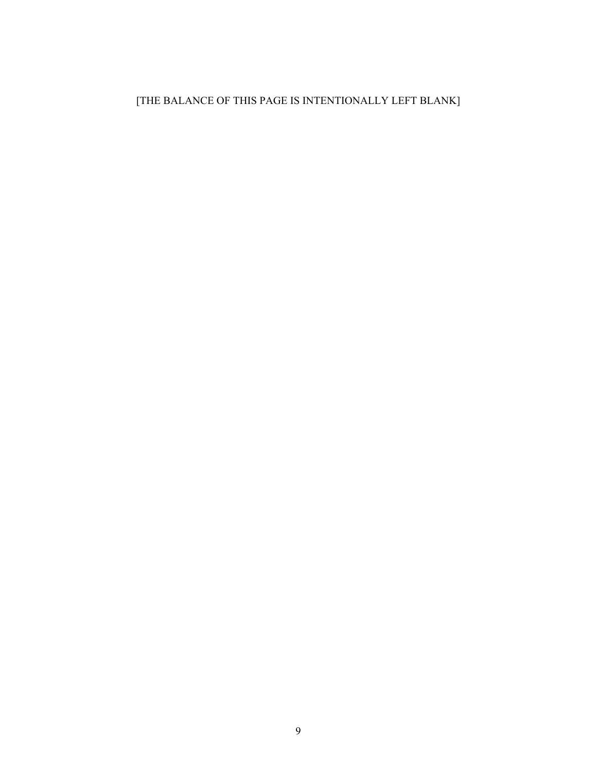# [THE BALANCE OF THIS PAGE IS INTENTIONALLY LEFT BLANK]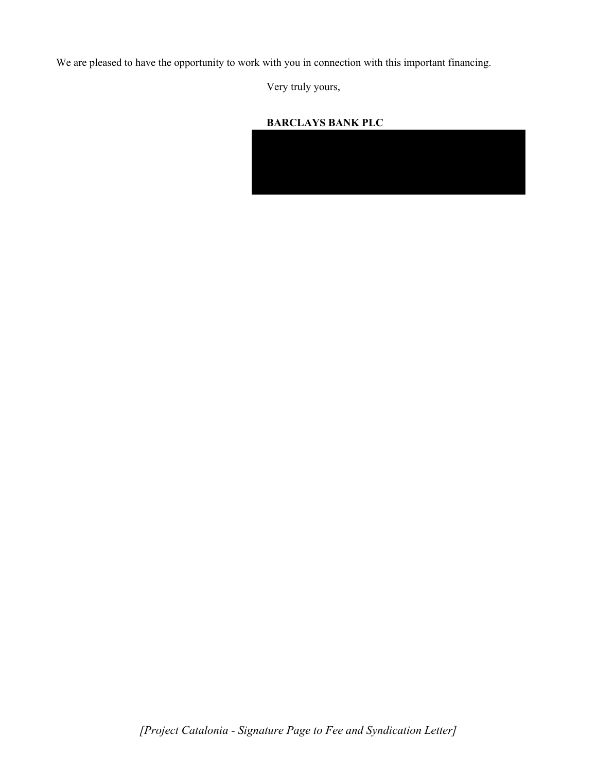We are pleased to have the opportunity to work with you in connection with this important financing.

Very truly yours,

### **BARCLAYS BANK PLC**

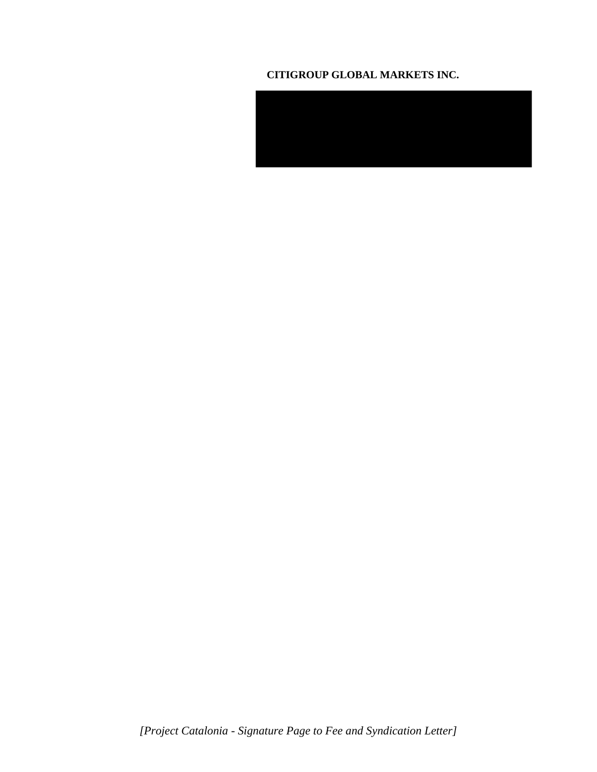### **CITIGROUP GLOBAL MARKETS INC.**